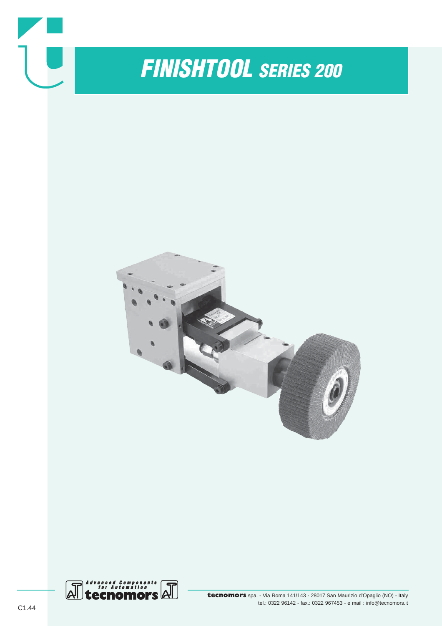

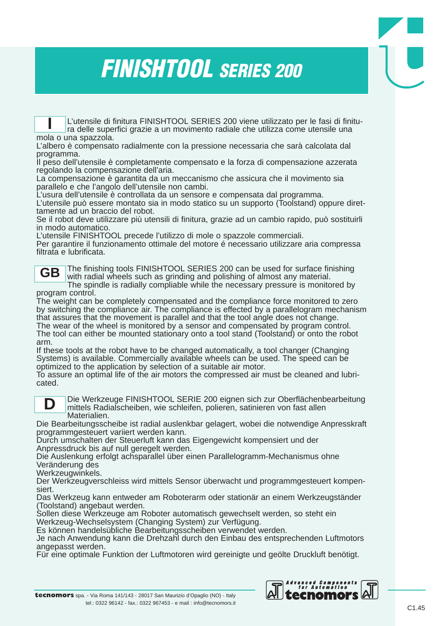## *FINISHTOOL SERIES 200*

L'utensile di finitura FINISHTOOL SERIES 200 viene utilizzato per le fasi di finitura delle superfici grazie a un movimento radiale che utilizza come utensile una mola o una spazzola. **I**

L'albero è compensato radialmente con la pressione necessaria che sarà calcolata dal programma.

Il peso dell'utensile è completamente compensato e la forza di compensazione azzerata regolando la compensazione dell'aria.

La compensazione è garantita da un meccanismo che assicura che il movimento sia parallelo e che l'angolo dell'utensile non cambi.

L'usura dell'utensile è controllata da un sensore e compensata dal programma. L'utensile può essere montato sia in modo statico su un supporto (Toolstand) oppure diret-

tamente ad un braccio del robot.

Se il robot deve utilizzare più utensili di finitura, grazie ad un cambio rapido, può sostituirli in modo automatico.

L'utensile FINISHTOOL precede l'utilizzo di mole o spazzole commerciali.

Per garantire il funzionamento ottimale del motore é necessario utilizzare aria compressa filtrata e lubrificata.

**GB**

The finishing tools FINISHTOOL SERIES 200 can be used for surface finishing with radial wheels such as grinding and polishing of almost any material. The spindle is radially compliable while the necessary pressure is monitored by

program control.

The weight can be completely compensated and the compliance force monitored to zero by switching the compliance air. The compliance is effected by a parallelogram mechanism that assures that the movement is parallel and that the tool angle does not change. The wear of the wheel is monitored by a sensor and compensated by program control. The tool can either be mounted stationary onto a tool stand (Toolstand) or onto the robot arm.

If these tools at the robot have to be changed automatically, a tool changer (Changing Systems) is available. Commercially available wheels can be used. The speed can be optimized to the application by selection of a suitable air motor.

To assure an optimal life of the air motors the compressed air must be cleaned and lubricated.



Die Werkzeuge FINISHTOOL SERIE 200 eignen sich zur Oberflächenbearbeitung mittels Radialscheiben, wie schleifen, polieren, satinieren von fast allen Materialien.

Die Bearbeitungsscheibe ist radial auslenkbar gelagert, wobei die notwendige Anpresskraft programmgesteuert variiert werden kann.

Durch umschalten der Steuerluft kann das Eigengewicht kompensiert und der Anpressdruck bis auf null geregelt werden.

Die Auslenkung erfolgt achsparallel über einen Parallelogramm-Mechanismus ohne Veränderung des

Werkzeugwinkels.

Der Werkzeugverschleiss wird mittels Sensor überwacht und programmgesteuert kompensiert.

Das Werkzeug kann entweder am Roboterarm oder stationär an einem Werkzeugständer (Toolstand) angebaut werden.

Sollen diese Werkzeuge am Roboter automatisch gewechselt werden, so steht ein Werkzeug-Wechselsystem (Changing System) zur Verfügung.

Es können handelsübliche Bearbeitungsscheiben verwendet werden.

Je nach Anwendung kann die Drehzahl durch den Einbau des entsprechenden Luftmotors angepasst werden.

Für eine optimale Funktion der Luftmotoren wird gereinigte und geölte Druckluft benötigt.

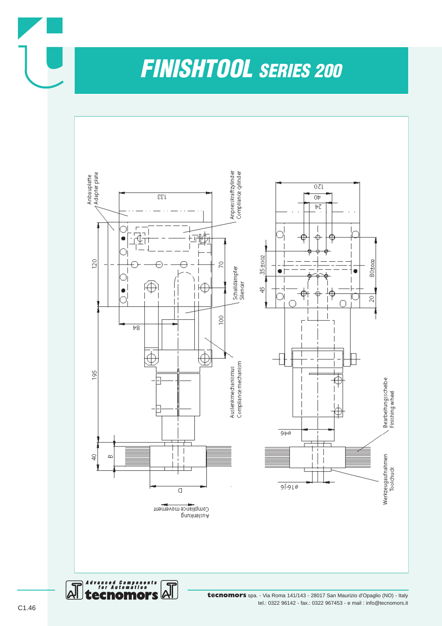*FINISHTOOL SERIES 200*



tel.: 0322 96142 - fax.: 0322 967453 - e mail : info@tecnomors.it